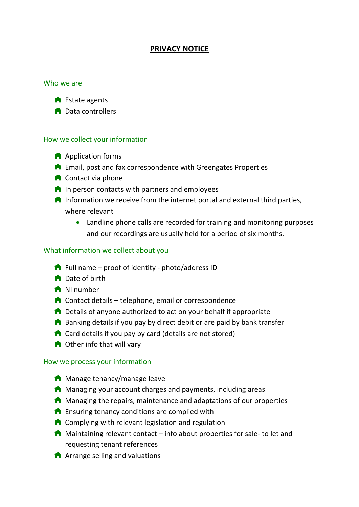# **PRIVACY NOTICE**

#### Who we are



**n** Data controllers

#### How we collect your information

- **A** Application forms
- $\bigcap$  Email, post and fax correspondence with Greengates Properties
- $\bigcap$  Contact via phone
- $\bigcap$  In person contacts with partners and employees
- $\bigcap$  Information we receive from the internet portal and external third parties, where relevant
	- Landline phone calls are recorded for training and monitoring purposes and our recordings are usually held for a period of six months.

#### What information we collect about you

- $\bigcap$  Full name proof of identity photo/address ID
- **n** Date of birth
- **A** NI number
- $\bigcap$  Contact details telephone, email or correspondence
- $\bigcap$  Details of anyone authorized to act on your behalf if appropriate
- $\bigcap$  Banking details if you pay by direct debit or are paid by bank transfer
- $\bigcap$  Card details if you pay by card (details are not stored)
- **n** Other info that will vary

#### How we process your information

- **A** Manage tenancy/manage leave
- $\bigcap$  Managing your account charges and payments, including areas
- $\blacksquare$  Managing the repairs, maintenance and adaptations of our properties
- $\bigcap$  Ensuring tenancy conditions are complied with
- $\bigcap$  Complying with relevant legislation and regulation
- $\bigcap$  Maintaining relevant contact info about properties for sale- to let and requesting tenant references
- $\bigcap$  Arrange selling and valuations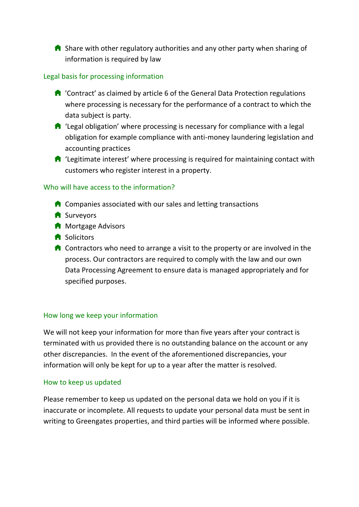$\bigcap$  Share with other regulatory authorities and any other party when sharing of information is required by law

## Legal basis for processing information

- $\bigcap$  'Contract' as claimed by article 6 of the General Data Protection regulations where processing is necessary for the performance of a contract to which the data subject is party.
- $\bigcap$  'Legal obligation' where processing is necessary for compliance with a legal obligation for example compliance with anti-money laundering legislation and accounting practices
- $\bigcap$  'Legitimate interest' where processing is required for maintaining contact with customers who register interest in a property.

### Who will have access to the information?

- $\bigcap$  Companies associated with our sales and letting transactions
- **A** Surveyors
- **A** Mortgage Advisors
- **f** Solicitors
- $\bigcap$  Contractors who need to arrange a visit to the property or are involved in the process. Our contractors are required to comply with the law and our own Data Processing Agreement to ensure data is managed appropriately and for specified purposes.

### How long we keep your information

We will not keep your information for more than five years after your contract is terminated with us provided there is no outstanding balance on the account or any other discrepancies. In the event of the aforementioned discrepancies, your information will only be kept for up to a year after the matter is resolved.

### How to keep us updated

Please remember to keep us updated on the personal data we hold on you if it is inaccurate or incomplete. All requests to update your personal data must be sent in writing to Greengates properties, and third parties will be informed where possible.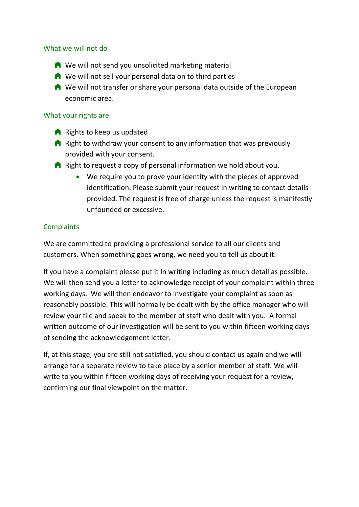### What we will not do

- $\bigwedge$  We will not send you unsolicited marketing material
- $\bigcap$  We will not sell your personal data on to third parties
- **A** We will not transfer or share your personal data outside of the European economic area.

#### What your rights are

- $\bigcap$  Rights to keep us updated
- $\bigcap$  Right to withdraw your consent to any information that was previously provided with your consent.
- $\bigcap$  Right to request a copy of personal information we hold about you.
	- We require you to prove your identity with the pieces of approved identification. Please submit your request in writing to contact details provided. The request is free of charge unless the request is manifestly unfounded or excessive.

### **Complaints**

We are committed to providing a professional service to all our clients and customers. When something goes wrong, we need you to tell us about it.

If you have a complaint please put it in writing including as much detail as possible. We will then send you a letter to acknowledge receipt of your complaint within three working days. We will then endeavor to investigate your complaint as soon as reasonably possible. This will normally be dealt with by the office manager who will review your file and speak to the member of staff who dealt with you. A formal written outcome of our investigation will be sent to you within fifteen working days of sending the acknowledgement letter.

If, at this stage, you are still not satisfied, you should contact us again and we will arrange for a separate review to take place by a senior member of staff. We will write to you within fifteen working days of receiving your request for a review, confirming our final viewpoint on the matter.